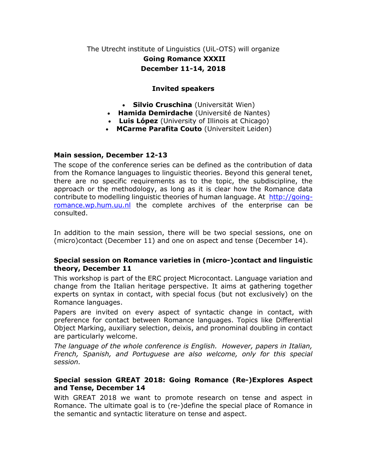The Utrecht institute of Linguistics (UiL-OTS) will organize Going Romance XXXII December 11-14, 2018

### Invited speakers

- Silvio Cruschina (Universität Wien)
- Hamida Demirdache (Université de Nantes)
- Luis López (University of Illinois at Chicago)
- MCarme Parafita Couto (Universiteit Leiden)

#### Main session, December 12-13

The scope of the conference series can be defined as the contribution of data from the Romance languages to linguistic theories. Beyond this general tenet, there are no specific requirements as to the topic, the subdiscipline, the approach or the methodology, as long as it is clear how the Romance data contribute to modelling linguistic theories of human language. At http://goingromance.wp.hum.uu.nl the complete archives of the enterprise can be consulted.

In addition to the main session, there will be two special sessions, one on (micro)contact (December 11) and one on aspect and tense (December 14).

#### Special session on Romance varieties in (micro-)contact and linguistic theory, December 11

This workshop is part of the ERC project Microcontact. Language variation and change from the Italian heritage perspective. It aims at gathering together experts on syntax in contact, with special focus (but not exclusively) on the Romance languages.

Papers are invited on every aspect of syntactic change in contact, with preference for contact between Romance languages. Topics like Differential Object Marking, auxiliary selection, deixis, and pronominal doubling in contact are particularly welcome.

The language of the whole conference is English. However, papers in Italian, French, Spanish, and Portuguese are also welcome, only for this special session.

### Special session GREAT 2018: Going Romance (Re-)Explores Aspect and Tense, December 14

With GREAT 2018 we want to promote research on tense and aspect in Romance. The ultimate goal is to (re-)define the special place of Romance in the semantic and syntactic literature on tense and aspect.